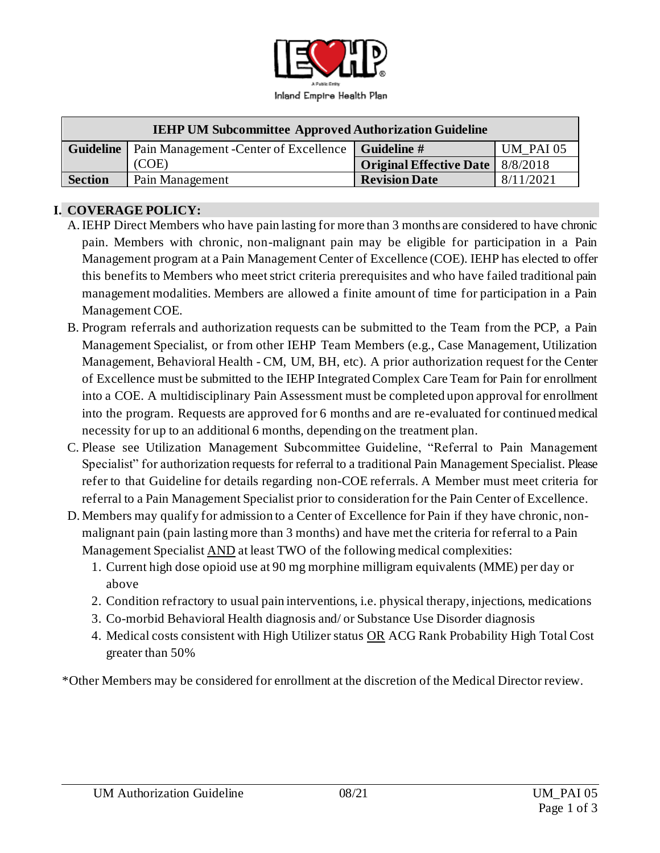

| <b>IEHP UM Subcommittee Approved Authorization Guideline</b> |                                                                         |                                           |                  |
|--------------------------------------------------------------|-------------------------------------------------------------------------|-------------------------------------------|------------------|
|                                                              | <b>Guideline</b>   Pain Management - Center of Excellence   Guideline # |                                           | <b>UM PAI 05</b> |
|                                                              | (COE)                                                                   | <b>Original Effective Date</b>   8/8/2018 |                  |
| <b>Section</b>                                               | Pain Management                                                         | <b>Revision Date</b>                      | 8/11/2021        |

## **I. COVERAGE POLICY:**

- A.IEHP Direct Members who have pain lasting for more than 3 months are considered to have chronic pain. Members with chronic, non-malignant pain may be eligible for participation in a Pain Management program at a Pain Management Center of Excellence (COE). IEHP has elected to offer this benefits to Members who meet strict criteria prerequisites and who have failed traditional pain management modalities. Members are allowed a finite amount of time for participation in a Pain Management COE.
- B. Program referrals and authorization requests can be submitted to the Team from the PCP, a Pain Management Specialist, or from other IEHP Team Members (e.g., Case Management, Utilization Management, Behavioral Health - CM, UM, BH, etc). A prior authorization request for the Center of Excellence must be submitted to the IEHP Integrated Complex Care Team for Pain for enrollment into a COE. A multidisciplinary Pain Assessment must be completed upon approval for enrollment into the program. Requests are approved for 6 months and are re-evaluated for continued medical necessity for up to an additional 6 months, depending on the treatment plan.
- C. Please see Utilization Management Subcommittee Guideline, "Referral to Pain Management Specialist" for authorization requests for referral to a traditional Pain Management Specialist. Please refer to that Guideline for details regarding non-COE referrals. A Member must meet criteria for referral to a Pain Management Specialist prior to consideration for the Pain Center of Excellence.
- D. Members may qualify for admission to a Center of Excellence for Pain if they have chronic, nonmalignant pain (pain lasting more than 3 months) and have met the criteria for referral to a Pain Management Specialist AND at least TWO of the following medical complexities:
	- 1. Current high dose opioid use at 90 mg morphine milligram equivalents (MME) per day or above
	- 2. Condition refractory to usual pain interventions, i.e. physical therapy, injections, medications
	- 3. Co-morbid Behavioral Health diagnosis and/ or Substance Use Disorder diagnosis
	- 4. Medical costs consistent with High Utilizer status OR ACG Rank Probability High Total Cost greater than 50%

\*Other Members may be considered for enrollment at the discretion of the Medical Director review.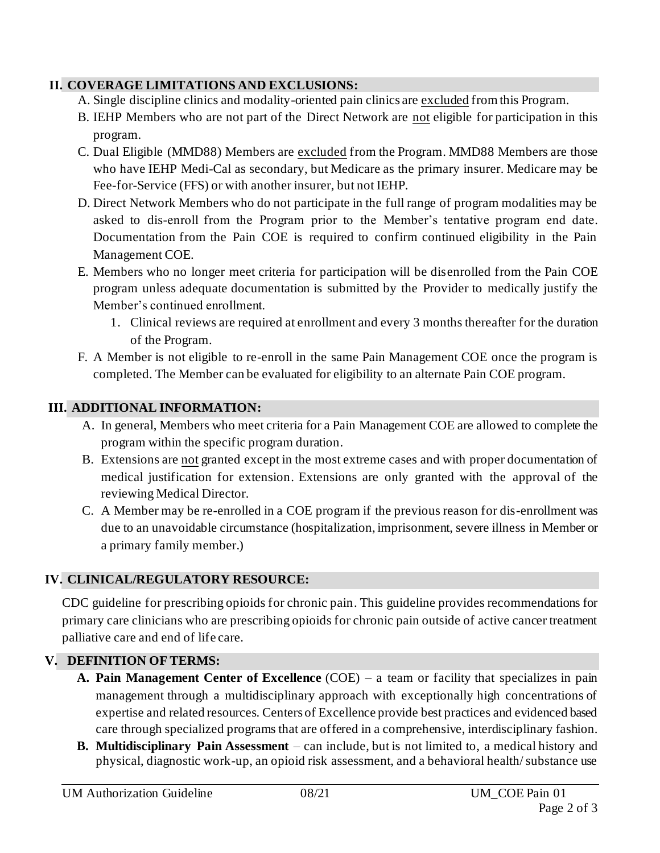# **II. COVERAGE LIMITATIONS AND EXCLUSIONS:**

- A. Single discipline clinics and modality-oriented pain clinics are excluded from this Program.
- B. IEHP Members who are not part of the Direct Network are not eligible for participation in this program.
- C. Dual Eligible (MMD88) Members are excluded from the Program. MMD88 Members are those who have IEHP Medi-Cal as secondary, but Medicare as the primary insurer. Medicare may be Fee-for-Service (FFS) or with another insurer, but not IEHP.
- D. Direct Network Members who do not participate in the full range of program modalities may be asked to dis-enroll from the Program prior to the Member's tentative program end date. Documentation from the Pain COE is required to confirm continued eligibility in the Pain Management COE.
- E. Members who no longer meet criteria for participation will be disenrolled from the Pain COE program unless adequate documentation is submitted by the Provider to medically justify the Member's continued enrollment.
	- 1. Clinical reviews are required at enrollment and every 3 months thereafter for the duration of the Program.
- F. A Member is not eligible to re-enroll in the same Pain Management COE once the program is completed. The Member can be evaluated for eligibility to an alternate Pain COE program.

# **III. ADDITIONAL INFORMATION:**

- A. In general, Members who meet criteria for a Pain Management COE are allowed to complete the program within the specific program duration.
- B. Extensions are not granted except in the most extreme cases and with proper documentation of medical justification for extension. Extensions are only granted with the approval of the reviewing Medical Director.
- C. A Member may be re-enrolled in a COE program if the previous reason for dis-enrollment was due to an unavoidable circumstance (hospitalization, imprisonment, severe illness in Member or a primary family member.)

# **IV. CLINICAL/REGULATORY RESOURCE:**

CDC guideline for prescribing opioids for chronic pain. This guideline provides recommendations for primary care clinicians who are prescribing opioids for chronic pain outside of active cancer treatment palliative care and end of life care.

# **V. DEFINITION OF TERMS:**

- **A. Pain Management Center of Excellence** (COE) a team or facility that specializes in pain management through a multidisciplinary approach with exceptionally high concentrations of expertise and related resources. Centers of Excellence provide best practices and evidenced based care through specialized programs that are offered in a comprehensive, interdisciplinary fashion.
- **B. Multidisciplinary Pain Assessment** can include, but is not limited to, a medical history and physical, diagnostic work-up, an opioid risk assessment, and a behavioral health/ substance use